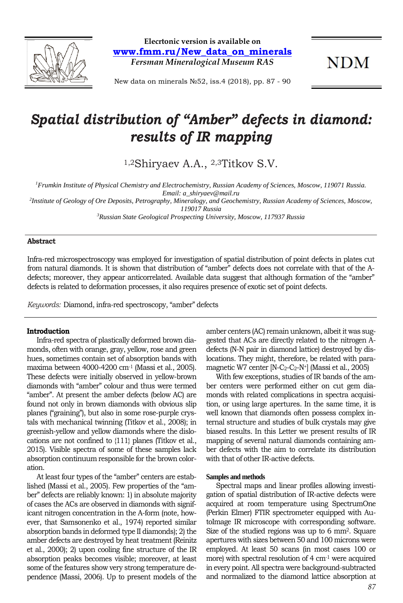

**Elecrtonic version is available on www.fmm.ru/New\_data\_on\_minerals** *Fersman Mineralogical Museum RAS*

**NDM** 

New data on minerals №52, iss.4 (2018), pp. 87 - 90

# *Spatial distribution of "Amber" defects in diamond: results of IR mapping*

1,2Shiryaev A.A., 2,3Titkov S.V.

<sup>1</sup> Frumkin Institute of Physical Chemistry and Electrochemistry, Russian Academy of Sciences, Moscow, 119071 Russia. *Email: a\_shiryaev@mail.ru*

*2 Institute of Geology of Ore Deposits, Petrography, Mineralogy, and Geochemistry, Russian Academy of Sciences, Moscow, 119017 Russia*

*3 Russian State Geological Prospecting University, Moscow, 117937 Russia*

### **Abstract**

Infra-red microspectroscopy was employed for investigation of spatial distribution of point defects in plates cut from natural diamonds. It is shown that distribution of "amber" defects does not correlate with that of the Adefects; moreover, they appear anticorrelated. Available data suggest that although formation of the "amber" defects is related to deformation processes, it also requires presence of exotic set of point defects.

*Keywords:* Diamond, infra-red spectroscopy, "amber" defects

#### **Introduction**

Infra-red spectra of plastically deformed brown diamonds, often with orange, gray, yellow, rose and green hues, sometimes contain set of absorption bands with maxima between 4000-4200 cm-<sup>1</sup> (Massi et al., 2005). These defects were initially observed in yellow-brown diamonds with "amber" colour and thus were termed "amber". At present the amber defects (below AC) are found not only in brown diamonds with obvious slip planes ("graining"), but also in some rose-purple crystals with mechanical twinning (Titkov et al., 2008); in greenish-yellow and yellow diamonds where the dislocations are not confined to {111} planes (Titkov et al., 2015). Visible spectra of some of these samples lack absorption continuum responsible for the brown coloration.

At least four types of the "amber" centers are established (Massi et al., 2005). Few properties of the "amber" defects are reliably known: 1) in absolute majority of cases the ACs are observed in diamonds with significant nitrogen concentration in the A-form (note, however, that Samsonenko et al., 1974) reported similar absorption bands in deformed type II diamonds); 2) the amber defects are destroyed by heat treatment (Reinitz et al., 2000); 2) upon cooling fine structure of the IR absorption peaks becomes visible; moreover, at least some of the features show very strong temperature dependence (Massi, 2006). Up to present models of the amber centers (AC) remain unknown, albeit it was suggested that ACs are directly related to the nitrogen Adefects (N-N pair in diamond lattice) destroyed by dislocations. They might, therefore, be related with paramagnetic W7 center  $[N-C_2-C_2-N^+]$  (Massi et al., 2005)

With few exceptions, studies of IR bands of the amber centers were performed either on cut gem diamonds with related complications in spectra acquisition, or using large apertures. In the same time, it is well known that diamonds often possess complex internal structure and studies of bulk crystals may give biased results. In this Letter we present results of IR mapping of several natural diamonds containing amber defects with the aim to correlate its distribution with that of other IR-active defects.

#### **Samples and methods**

Spectral maps and linear profiles allowing investigation of spatial distribution of IR-active defects were acquired at room temperature using SpectrumOne (Perkin Elmer) FTIR spectrometer equipped with AutoImage IR microscope with corresponding software. Size of the studied regions was up to 6 mm<sup>2</sup>. Square apertures with sizes between 50 and 100 microns were employed. At least 50 scans (in most cases 100 or more) with spectral resolution of 4 cm-<sup>1</sup> were acquired in every point. All spectra were background-subtracted and normalized to the diamond lattice absorption at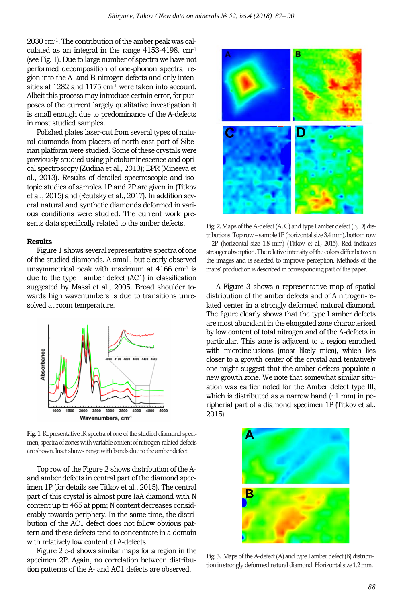2030 cm-1. The contribution of the amber peak was calculated as an integral in the range 4153-4198. cm-<sup>1</sup> (see Fig. 1). Due to large number of spectra we have not performed decomposition of one-phonon spectral region into the A- and B-nitrogen defects and only intensities at 1282 and 1175 cm<sup>-1</sup> were taken into account. Albeit this process may introduce certain error, for purposes of the current largely qualitative investigation it is small enough due to predominance of the A-defects in most studied samples.

Polished plates laser-cut from several types of natural diamonds from placers of north-east part of Siberian platform were studied. Some of these crystals were previously studied using photoluminescence and optical spectroscopy (Zudina et al., 2013); EPR (Mineeva et al., 2013). Results of detailed spectroscopic and isotopic studies of samples 1P and 2P are given in (Titkov et al., 2015) and (Reutsky et al., 2017). In addition several natural and synthetic diamonds deformed in various conditions were studied. The current work presents data specifically related to the amber defects.

## **Results**

Figure 1 shows several representative spectra of one of the studied diamonds. A small, but clearly observed unsymmetrical peak with maximum at  $4166$  cm<sup>-1</sup> is due to the type I amber defect (AC1) in classification suggested by Massi et al., 2005. Broad shoulder towards high wavenumbers is due to transitions unresolved at room temperature.



**Fig. 1.** Representative IR spectra of one of the studied diamond specimen; spectra of zones with variable content of nitrogen-related defects are shown. Inset shows range with bands due to the amber defect.

Top row of the Figure 2 shows distribution of the Aand amber defects in central part of the diamond specimen 1P (for details see Titkov et al., 2015). The central part of this crystal is almost pure IaA diamond with N content up to 465 at ppm; N content decreases considerably towards periphery. In the same time, the distribution of the AC1 defect does not follow obvious pattern and these defects tend to concentrate in a domain with relatively low content of A-defects.

Figure 2 c-d shows similar maps for a region in the specimen 2P. Again, no correlation between distribution patterns of the A- and AC1 defects are observed.



**Fig. 2.** Maps of the A-defect (A, C) and type I amber defect (B, D) distributions. Top row – sample 1P (horizontal size 3.4 mm), bottom row – 2P (horizontal size 1.8 mm) (Titkov et al., 2015). Red indicates stronger absorption. The relative intensity of the colors differ between the images and is selected to improve perception. Methods of the maps' production is described in corresponding part of the paper.

А Figure 3 shows a representative map of spatial distribution of the amber defects and of A nitrogen-related center in a strongly deformed natural diamond. The figure clearly shows that the type I amber defects are most abundant in the elongated zone characterised by low content of total nitrogen and of the A-defects in particular. This zone is adjacent to a region enriched with microinclusions (most likely mica), which lies closer to a growth center of the crystal and tentatively one might suggest that the amber defects populate a new growth zone. We note that somewhat similar situation was earlier noted for the Amber defect type III, which is distributed as a narrow band (~1 mm) in peripherial part of a diamond specimen 1P (Titkov et al., 2015).



**Fig. 3.** Maps of the A-defect (A) and type I amber defect (B) distribution in strongly deformed natural diamond. Horizontal size 1.2 mm.